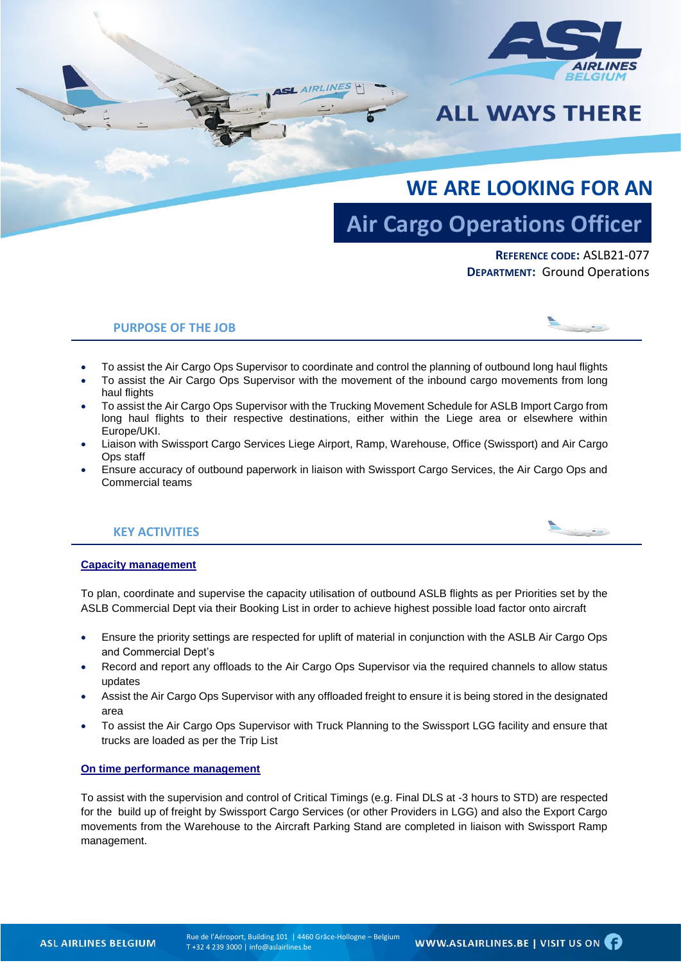

# **ALL WAYS THERE**

# **WE ARE LOOKING FOR AN**

# **Air Cargo Operations Officer**

**REFERENCE CODE:** ASLB21-077 **DEPARTMENT:** Ground Operations

### **PURPOSE OF THE JOB**



**Contract Contract** 

To assist the Air Cargo Ops Supervisor to coordinate and control the planning of outbound long haul flights

 $H$  AIRLIN

- To assist the Air Cargo Ops Supervisor with the movement of the inbound cargo movements from long haul flights
- To assist the Air Cargo Ops Supervisor with the Trucking Movement Schedule for ASLB Import Cargo from long haul flights to their respective destinations, either within the Liege area or elsewhere within Europe/UKI.
- Liaison with Swissport Cargo Services Liege Airport, Ramp, Warehouse, Office (Swissport) and Air Cargo Ops staff
- Ensure accuracy of outbound paperwork in liaison with Swissport Cargo Services, the Air Cargo Ops and Commercial teams

# **KEY ACTIVITIES**

#### **Capacity management**

To plan, coordinate and supervise the capacity utilisation of outbound ASLB flights as per Priorities set by the ASLB Commercial Dept via their Booking List in order to achieve highest possible load factor onto aircraft

- Ensure the priority settings are respected for uplift of material in conjunction with the ASLB Air Cargo Ops and Commercial Dept's
- Record and report any offloads to the Air Cargo Ops Supervisor via the required channels to allow status updates
- Assist the Air Cargo Ops Supervisor with any offloaded freight to ensure it is being stored in the designated area
- To assist the Air Cargo Ops Supervisor with Truck Planning to the Swissport LGG facility and ensure that trucks are loaded as per the Trip List

#### **On time performance management**

To assist with the supervision and control of Critical Timings (e.g. Final DLS at -3 hours to STD) are respected for the build up of freight by Swissport Cargo Services (or other Providers in LGG) and also the Export Cargo movements from the Warehouse to the Aircraft Parking Stand are completed in liaison with Swissport Ramp management.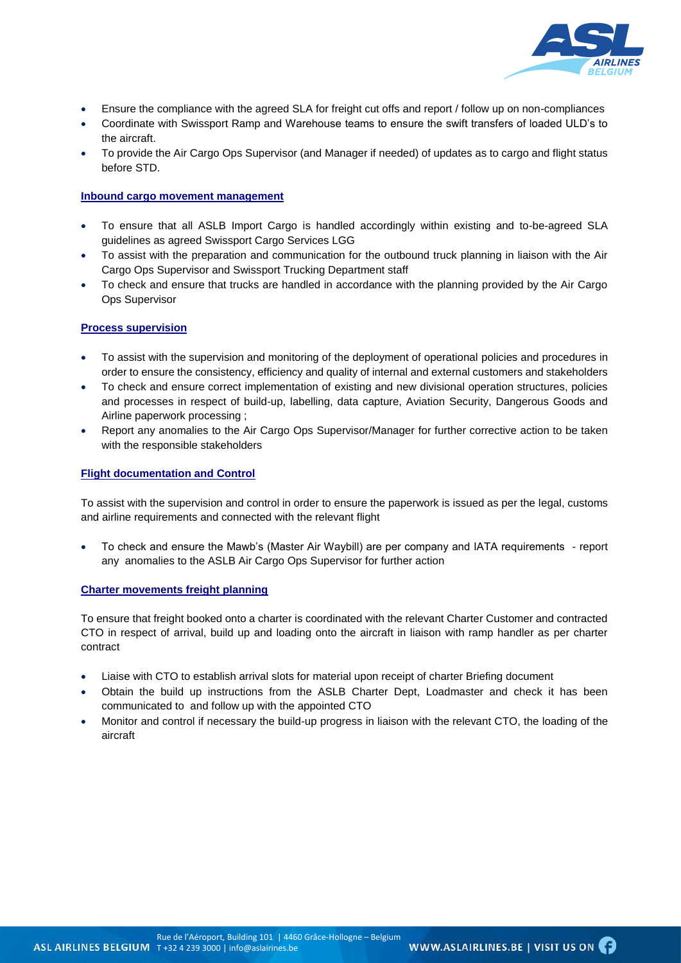

- Ensure the compliance with the agreed SLA for freight cut offs and report / follow up on non-compliances
- Coordinate with Swissport Ramp and Warehouse teams to ensure the swift transfers of loaded ULD's to the aircraft.
- To provide the Air Cargo Ops Supervisor (and Manager if needed) of updates as to cargo and flight status before STD.

#### **Inbound cargo movement management**

- To ensure that all ASLB Import Cargo is handled accordingly within existing and to-be-agreed SLA guidelines as agreed Swissport Cargo Services LGG
- To assist with the preparation and communication for the outbound truck planning in liaison with the Air Cargo Ops Supervisor and Swissport Trucking Department staff
- To check and ensure that trucks are handled in accordance with the planning provided by the Air Cargo Ops Supervisor

#### **Process supervision**

- To assist with the supervision and monitoring of the deployment of operational policies and procedures in order to ensure the consistency, efficiency and quality of internal and external customers and stakeholders
- To check and ensure correct implementation of existing and new divisional operation structures, policies and processes in respect of build-up, labelling, data capture, Aviation Security, Dangerous Goods and Airline paperwork processing ;
- Report any anomalies to the Air Cargo Ops Supervisor/Manager for further corrective action to be taken with the responsible stakeholders

#### **Flight documentation and Control**

To assist with the supervision and control in order to ensure the paperwork is issued as per the legal, customs and airline requirements and connected with the relevant flight

 To check and ensure the Mawb's (Master Air Waybill) are per company and IATA requirements - report any anomalies to the ASLB Air Cargo Ops Supervisor for further action

#### **Charter movements freight planning**

To ensure that freight booked onto a charter is coordinated with the relevant Charter Customer and contracted CTO in respect of arrival, build up and loading onto the aircraft in liaison with ramp handler as per charter contract

- Liaise with CTO to establish arrival slots for material upon receipt of charter Briefing document
- Obtain the build up instructions from the ASLB Charter Dept, Loadmaster and check it has been communicated to and follow up with the appointed CTO
- Monitor and control if necessary the build-up progress in liaison with the relevant CTO, the loading of the aircraft